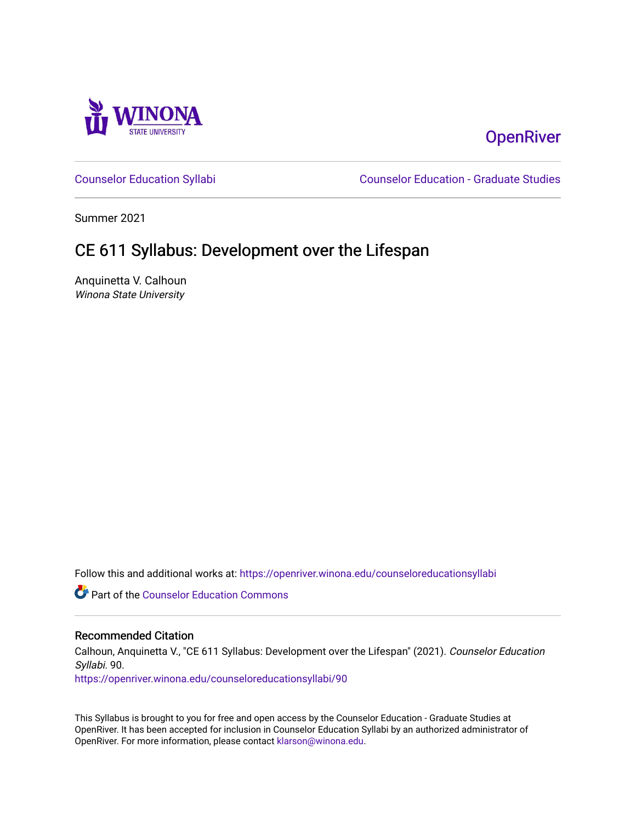

# **OpenRiver**

[Counselor Education Syllabi](https://openriver.winona.edu/counseloreducationsyllabi) [Counselor Education - Graduate Studies](https://openriver.winona.edu/counseloreducation) 

Summer 2021

# CE 611 Syllabus: Development over the Lifespan

Anquinetta V. Calhoun Winona State University

Follow this and additional works at: [https://openriver.winona.edu/counseloreducationsyllabi](https://openriver.winona.edu/counseloreducationsyllabi?utm_source=openriver.winona.edu%2Fcounseloreducationsyllabi%2F90&utm_medium=PDF&utm_campaign=PDFCoverPages)

Part of the [Counselor Education Commons](http://network.bepress.com/hgg/discipline/1278?utm_source=openriver.winona.edu%2Fcounseloreducationsyllabi%2F90&utm_medium=PDF&utm_campaign=PDFCoverPages) 

### Recommended Citation

Calhoun, Anquinetta V., "CE 611 Syllabus: Development over the Lifespan" (2021). Counselor Education Syllabi. 90.

[https://openriver.winona.edu/counseloreducationsyllabi/90](https://openriver.winona.edu/counseloreducationsyllabi/90?utm_source=openriver.winona.edu%2Fcounseloreducationsyllabi%2F90&utm_medium=PDF&utm_campaign=PDFCoverPages) 

This Syllabus is brought to you for free and open access by the Counselor Education - Graduate Studies at OpenRiver. It has been accepted for inclusion in Counselor Education Syllabi by an authorized administrator of OpenRiver. For more information, please contact [klarson@winona.edu](mailto:klarson@winona.edu).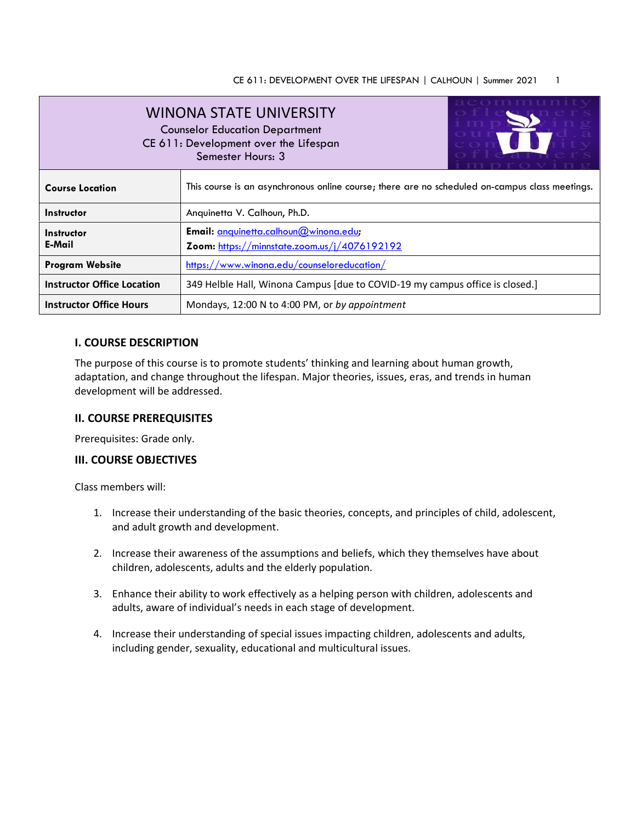| <b>WINONA STATE UNIVERSITY</b><br><b>Counselor Education Department</b><br>CE 611: Development over the Lifespan<br>Semester Hours: 3 |                                                                                                |  |  |  |
|---------------------------------------------------------------------------------------------------------------------------------------|------------------------------------------------------------------------------------------------|--|--|--|
| <b>Course Location</b>                                                                                                                | This course is an asynchronous online course; there are no scheduled on-campus class meetings. |  |  |  |
| Instructor                                                                                                                            | Anquinetta V. Calhoun, Ph.D.                                                                   |  |  |  |
| Instructor<br>E-Mail                                                                                                                  | Email: anquinetta.calhoun@winona.edu;<br>Zoom: https://minnstate.zoom.us/j/4076192192          |  |  |  |
| <b>Program Website</b>                                                                                                                | https://www.winona.edu/counseloreducation/                                                     |  |  |  |
| <b>Instructor Office Location</b>                                                                                                     | 349 Helble Hall, Winona Campus [due to COVID-19 my campus office is closed.]                   |  |  |  |
| <b>Instructor Office Hours</b>                                                                                                        | Mondays, 12:00 N to 4:00 PM, or by appointment                                                 |  |  |  |

# **I. COURSE DESCRIPTION**

The purpose of this course is to promote students' thinking and learning about human growth, adaptation, and change throughout the lifespan. Major theories, issues, eras, and trends in human development will be addressed.

# **II. COURSE PREREQUISITES**

Prerequisites: Grade only.

# **III. COURSE OBJECTIVES**

Class members will:

- 1. Increase their understanding of the basic theories, concepts, and principles of child, adolescent, and adult growth and development.
- 2. Increase their awareness of the assumptions and beliefs, which they themselves have about children, adolescents, adults and the elderly population.
- 3. Enhance their ability to work effectively as a helping person with children, adolescents and adults, aware of individual's needs in each stage of development.
- 4. Increase their understanding of special issues impacting children, adolescents and adults, including gender, sexuality, educational and multicultural issues.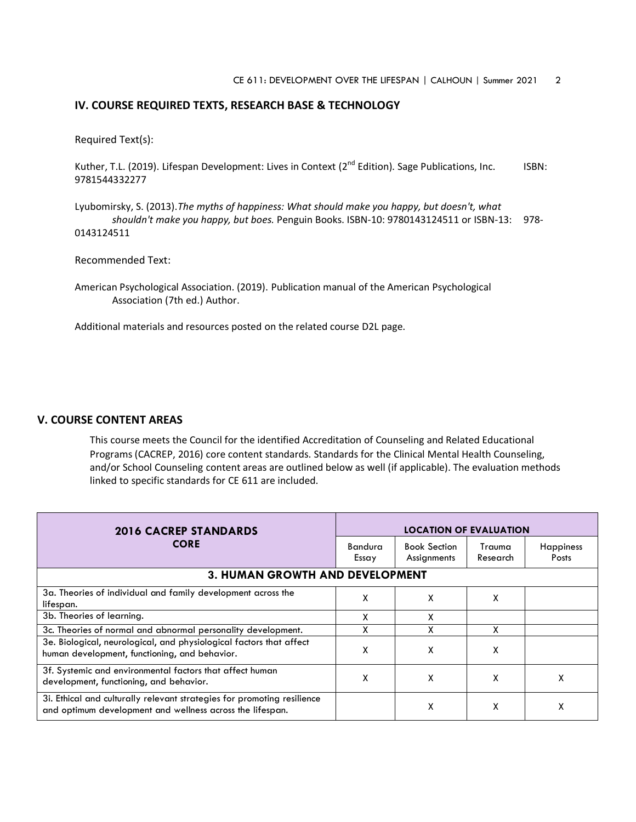#### **IV. COURSE REQUIRED TEXTS, RESEARCH BASE & TECHNOLOGY**

Required Text(s):

Kuther, T.L. (2019). Lifespan Development: Lives in Context ( $2^{nd}$  Edition). Sage Publications, Inc. ISBN: 9781544332277

Lyubomirsky, S. (2013).*The myths of happiness: What should make you happy, but doesn't, what shouldn't make you happy, but boes.* Penguin Books. ISBN-10: 9780143124511 or ISBN-13: 978- 0143124511

Recommended Text:

American Psychological Association. (2019). Publication manual of the American Psychological Association (7th ed.) Author.

Additional materials and resources posted on the related course D2L page.

# **V. COURSE CONTENT AREAS**

This course meets the Council for the identified Accreditation of Counseling and Related Educational Programs (CACREP, 2016) core content standards. Standards for the Clinical Mental Health Counseling, and/or School Counseling content areas are outlined below as well (if applicable). The evaluation methods linked to specific standards for CE 611 are included.

| <b>2016 CACREP STANDARDS</b>                                                                                                         | <b>LOCATION OF EVALUATION</b> |                                    |                    |                                  |
|--------------------------------------------------------------------------------------------------------------------------------------|-------------------------------|------------------------------------|--------------------|----------------------------------|
| <b>CORE</b>                                                                                                                          | <b>Bandura</b><br>Essay       | <b>Book Section</b><br>Assignments | Trauma<br>Research | <b>Happiness</b><br><b>Posts</b> |
| <b>3. HUMAN GROWTH AND DEVELOPMENT</b>                                                                                               |                               |                                    |                    |                                  |
| 3a. Theories of individual and family development across the<br>lifespan.                                                            | x                             | χ                                  | x                  |                                  |
| 3b. Theories of learning.                                                                                                            | x                             | χ                                  |                    |                                  |
| 3c. Theories of normal and abnormal personality development.                                                                         |                               | x                                  | x                  |                                  |
| 3e. Biological, neurological, and physiological factors that affect<br>human development, functioning, and behavior.                 | x                             | X                                  | χ                  |                                  |
| 3f. Systemic and environmental factors that affect human<br>development, functioning, and behavior.                                  | x                             | x                                  | χ                  |                                  |
| 31. Ethical and culturally relevant strategies for promoting resilience<br>and optimum development and wellness across the lifespan. |                               | χ                                  | x                  | x                                |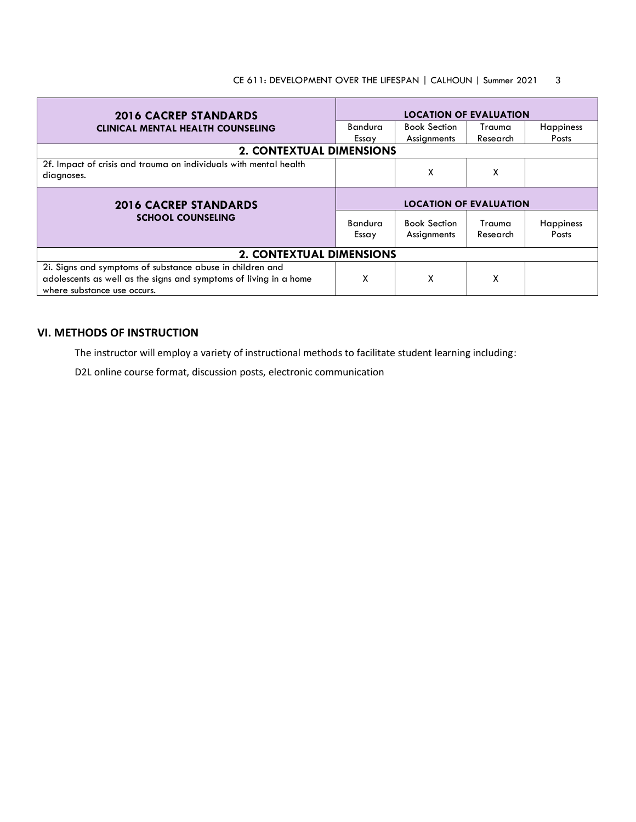| <b>2016 CACREP STANDARDS</b>                                                    | <b>LOCATION OF EVALUATION</b> |                                    |                    |                    |
|---------------------------------------------------------------------------------|-------------------------------|------------------------------------|--------------------|--------------------|
| <b>CLINICAL MENTAL HEALTH COUNSELING</b>                                        | Bandura                       | <b>Book Section</b>                | Trauma             | <b>Happiness</b>   |
|                                                                                 | Essay                         | Assignments                        | Research           | Posts              |
| <b>2. CONTEXTUAL DIMENSIONS</b>                                                 |                               |                                    |                    |                    |
| 2f. Impact of crisis and trauma on individuals with mental health<br>diagnoses. |                               | χ                                  | X                  |                    |
|                                                                                 | <b>LOCATION OF EVALUATION</b> |                                    |                    |                    |
| <b>2016 CACREP STANDARDS</b>                                                    |                               |                                    |                    |                    |
| <b>SCHOOL COUNSELING</b>                                                        | <b>Bandura</b><br>Essay       | <b>Book Section</b><br>Assignments | Trauma<br>Research | Happiness<br>Posts |
| <b>2. CONTEXTUAL DIMENSIONS</b>                                                 |                               |                                    |                    |                    |

# **VI. METHODS OF INSTRUCTION**

The instructor will employ a variety of instructional methods to facilitate student learning including:

D2L online course format, discussion posts, electronic communication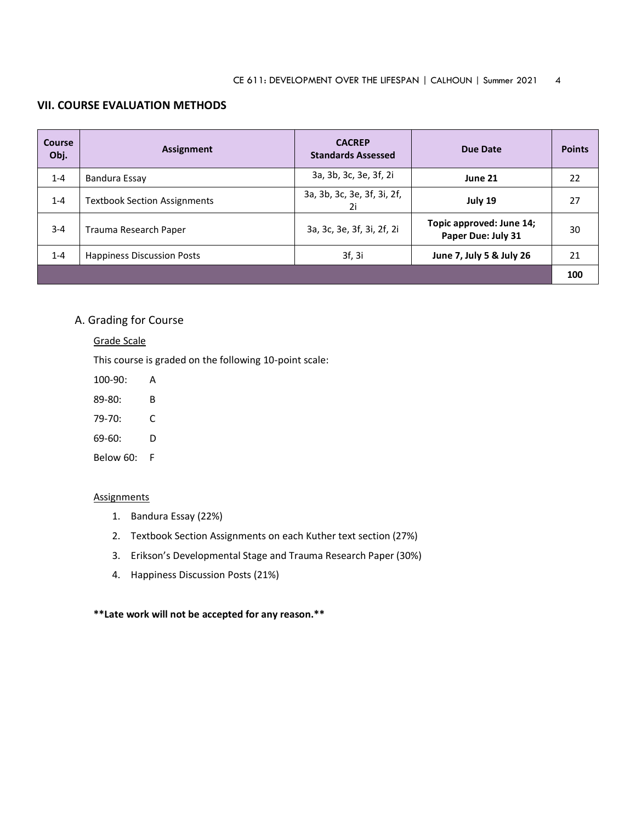# **VII. COURSE EVALUATION METHODS**

| Course<br>Obj. | Assignment                          | <b>CACREP</b><br><b>Standards Assessed</b> | Due Date                                       | <b>Points</b> |
|----------------|-------------------------------------|--------------------------------------------|------------------------------------------------|---------------|
| $1 - 4$        | Bandura Essay                       | 3a, 3b, 3c, 3e, 3f, 2i                     | June 21                                        | 22            |
| $1 - 4$        | <b>Textbook Section Assignments</b> | 3a, 3b, 3c, 3e, 3f, 3i, 2f,<br>2i          | July 19                                        | 27            |
| $3 - 4$        | Trauma Research Paper               | 3a, 3c, 3e, 3f, 3i, 2f, 2i                 | Topic approved: June 14;<br>Paper Due: July 31 | 30            |
| $1 - 4$        | <b>Happiness Discussion Posts</b>   | 3f, 3i                                     | June 7, July 5 & July 26                       | 21            |
|                |                                     |                                            |                                                | 100           |

# A. Grading for Course

#### Grade Scale

This course is graded on the following 10-point scale:

100-90: A

89-80: B

- 79-70: C
- 69-60: D

Below 60: F

#### **Assignments**

- 1. Bandura Essay (22%)
- 2. Textbook Section Assignments on each Kuther text section (27%)
- 3. Erikson's Developmental Stage and Trauma Research Paper (30%)
- 4. Happiness Discussion Posts (21%)

### **\*\*Late work will not be accepted for any reason.\*\***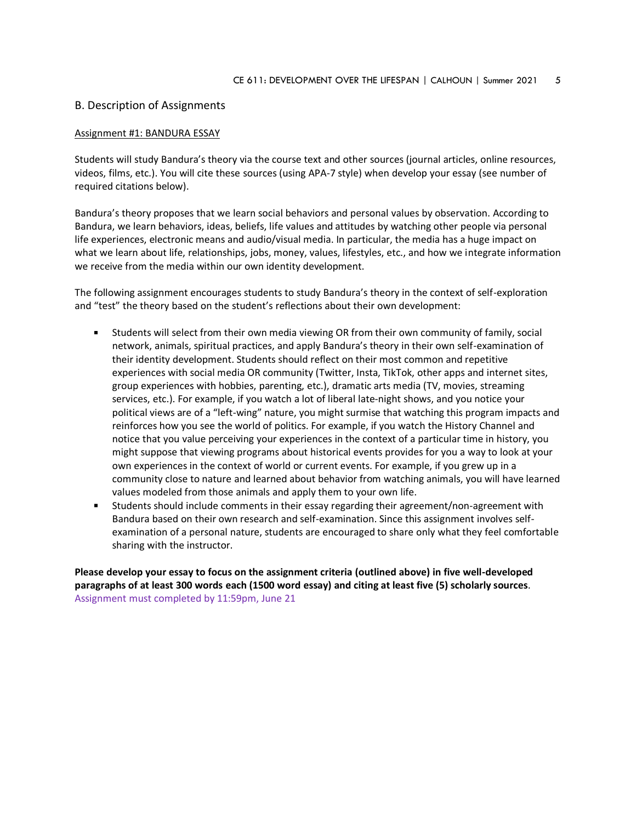#### B. Description of Assignments

#### Assignment #1: BANDURA ESSAY

Students will study Bandura's theory via the course text and other sources (journal articles, online resources, videos, films, etc.). You will cite these sources (using APA-7 style) when develop your essay (see number of required citations below).

Bandura's theory proposes that we learn social behaviors and personal values by observation. According to Bandura, we learn behaviors, ideas, beliefs, life values and attitudes by watching other people via personal life experiences, electronic means and audio/visual media. In particular, the media has a huge impact on what we learn about life, relationships, jobs, money, values, lifestyles, etc., and how we integrate information we receive from the media within our own identity development.

The following assignment encourages students to study Bandura's theory in the context of self-exploration and "test" the theory based on the student's reflections about their own development:

- Students will select from their own media viewing OR from their own community of family, social network, animals, spiritual practices, and apply Bandura's theory in their own self-examination of their identity development. Students should reflect on their most common and repetitive experiences with social media OR community (Twitter, Insta, TikTok, other apps and internet sites, group experiences with hobbies, parenting, etc.), dramatic arts media (TV, movies, streaming services, etc.). For example, if you watch a lot of liberal late-night shows, and you notice your political views are of a "left-wing" nature, you might surmise that watching this program impacts and reinforces how you see the world of politics. For example, if you watch the History Channel and notice that you value perceiving your experiences in the context of a particular time in history, you might suppose that viewing programs about historical events provides for you a way to look at your own experiences in the context of world or current events. For example, if you grew up in a community close to nature and learned about behavior from watching animals, you will have learned values modeled from those animals and apply them to your own life.
- Students should include comments in their essay regarding their agreement/non-agreement with Bandura based on their own research and self-examination. Since this assignment involves selfexamination of a personal nature, students are encouraged to share only what they feel comfortable sharing with the instructor.

**Please develop your essay to focus on the assignment criteria (outlined above) in five well-developed paragraphs of at least 300 words each (1500 word essay) and citing at least five (5) scholarly sources**. Assignment must completed by 11:59pm, June 21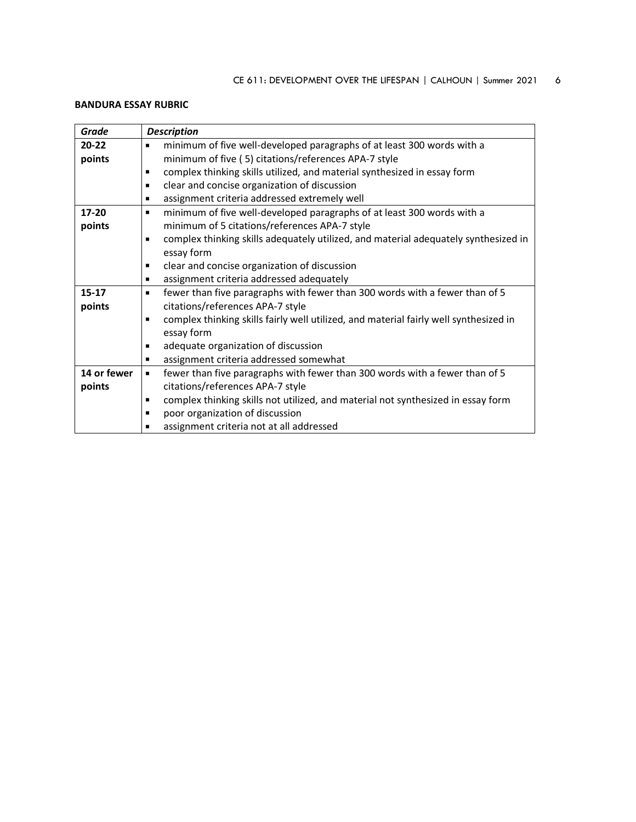# **BANDURA ESSAY RUBRIC**

| Grade       | <b>Description</b>                                                                                    |
|-------------|-------------------------------------------------------------------------------------------------------|
| $20 - 22$   | minimum of five well-developed paragraphs of at least 300 words with a<br>٠                           |
| points      | minimum of five (5) citations/references APA-7 style                                                  |
|             | complex thinking skills utilized, and material synthesized in essay form<br>٠                         |
|             | clear and concise organization of discussion<br>$\blacksquare$                                        |
|             | assignment criteria addressed extremely well<br>$\blacksquare$                                        |
| $17 - 20$   | minimum of five well-developed paragraphs of at least 300 words with a<br>٠                           |
| points      | minimum of 5 citations/references APA-7 style                                                         |
|             | complex thinking skills adequately utilized, and material adequately synthesized in<br>$\blacksquare$ |
|             | essay form                                                                                            |
|             | clear and concise organization of discussion<br>п                                                     |
|             | assignment criteria addressed adequately<br>٠                                                         |
| $15 - 17$   | fewer than five paragraphs with fewer than 300 words with a fewer than of 5<br>$\blacksquare$         |
| points      | citations/references APA-7 style                                                                      |
|             | complex thinking skills fairly well utilized, and material fairly well synthesized in<br>п            |
|             | essay form                                                                                            |
|             | adequate organization of discussion<br>٠                                                              |
|             | assignment criteria addressed somewhat<br>٠                                                           |
| 14 or fewer | fewer than five paragraphs with fewer than 300 words with a fewer than of 5<br>٠                      |
| points      | citations/references APA-7 style                                                                      |
|             | complex thinking skills not utilized, and material not synthesized in essay form<br>٠                 |
|             | poor organization of discussion<br>٠                                                                  |
|             | assignment criteria not at all addressed                                                              |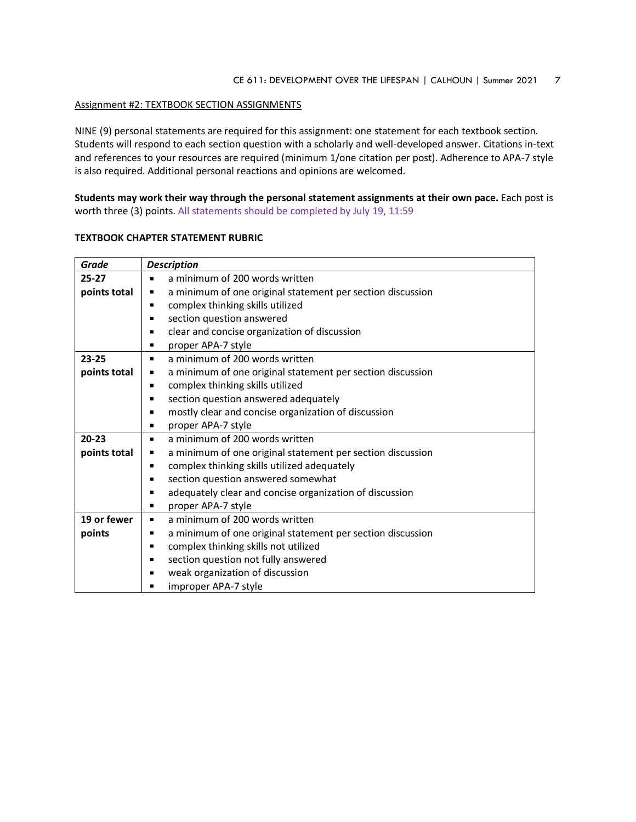#### Assignment #2: TEXTBOOK SECTION ASSIGNMENTS

NINE (9) personal statements are required for this assignment: one statement for each textbook section. Students will respond to each section question with a scholarly and well-developed answer. Citations in-text and references to your resources are required (minimum 1/one citation per post). Adherence to APA-7 style is also required. Additional personal reactions and opinions are welcomed.

**Students may work their way through the personal statement assignments at their own pace.** Each post is worth three (3) points. All statements should be completed by July 19, 11:59

| Grade        | <b>Description</b>                                                        |  |
|--------------|---------------------------------------------------------------------------|--|
| $25 - 27$    | a minimum of 200 words written<br>٠                                       |  |
| points total | a minimum of one original statement per section discussion<br>٠           |  |
|              | complex thinking skills utilized<br>٠                                     |  |
|              | section question answered<br>٠                                            |  |
|              | clear and concise organization of discussion<br>$\blacksquare$            |  |
|              | proper APA-7 style<br>п                                                   |  |
| $23 - 25$    | a minimum of 200 words written<br>٠                                       |  |
| points total | a minimum of one original statement per section discussion<br>п           |  |
|              | complex thinking skills utilized<br>$\blacksquare$                        |  |
|              | section question answered adequately<br>п                                 |  |
|              | mostly clear and concise organization of discussion<br>п                  |  |
|              | proper APA-7 style<br>٠                                                   |  |
| $20 - 23$    | a minimum of 200 words written<br>п                                       |  |
| points total | a minimum of one original statement per section discussion<br>ш           |  |
|              | complex thinking skills utilized adequately<br>٠                          |  |
|              | section question answered somewhat<br>$\blacksquare$                      |  |
|              | adequately clear and concise organization of discussion<br>$\blacksquare$ |  |
|              | proper APA-7 style<br>п                                                   |  |
| 19 or fewer  | a minimum of 200 words written<br>٠                                       |  |
| points       | a minimum of one original statement per section discussion<br>п           |  |
|              | complex thinking skills not utilized<br>$\blacksquare$                    |  |
|              | section question not fully answered<br>$\blacksquare$                     |  |
|              | weak organization of discussion<br>п                                      |  |
|              | improper APA-7 style                                                      |  |

#### **TEXTBOOK CHAPTER STATEMENT RUBRIC**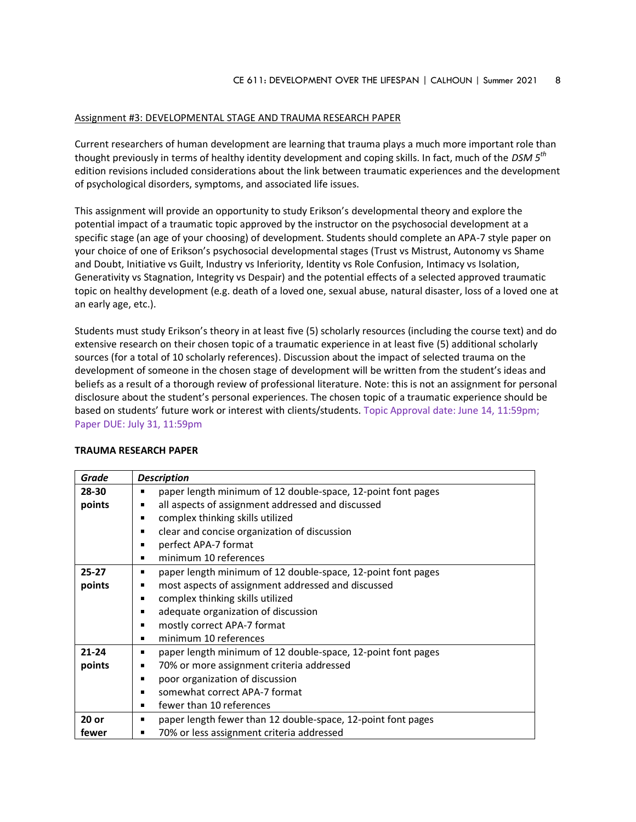#### Assignment #3: DEVELOPMENTAL STAGE AND TRAUMA RESEARCH PAPER

Current researchers of human development are learning that trauma plays a much more important role than thought previously in terms of healthy identity development and coping skills. In fact, much of the *DSM 5th* edition revisions included considerations about the link between traumatic experiences and the development of psychological disorders, symptoms, and associated life issues.

This assignment will provide an opportunity to study Erikson's developmental theory and explore the potential impact of a traumatic topic approved by the instructor on the psychosocial development at a specific stage (an age of your choosing) of development. Students should complete an APA-7 style paper on your choice of one of Erikson's psychosocial developmental stages (Trust vs Mistrust, Autonomy vs Shame and Doubt, Initiative vs Guilt, Industry vs Inferiority, Identity vs Role Confusion, Intimacy vs Isolation, Generativity vs Stagnation, Integrity vs Despair) and the potential effects of a selected approved traumatic topic on healthy development (e.g. death of a loved one, sexual abuse, natural disaster, loss of a loved one at an early age, etc.).

Students must study Erikson's theory in at least five (5) scholarly resources (including the course text) and do extensive research on their chosen topic of a traumatic experience in at least five (5) additional scholarly sources (for a total of 10 scholarly references). Discussion about the impact of selected trauma on the development of someone in the chosen stage of development will be written from the student's ideas and beliefs as a result of a thorough review of professional literature. Note: this is not an assignment for personal disclosure about the student's personal experiences. The chosen topic of a traumatic experience should be based on students' future work or interest with clients/students. Topic Approval date: June 14, 11:59pm; Paper DUE: July 31, 11:59pm

| Grade     | <b>Description</b>                                           |  |  |
|-----------|--------------------------------------------------------------|--|--|
| 28-30     | paper length minimum of 12 double-space, 12-point font pages |  |  |
| points    | all aspects of assignment addressed and discussed            |  |  |
|           | complex thinking skills utilized                             |  |  |
|           | clear and concise organization of discussion                 |  |  |
|           | perfect APA-7 format                                         |  |  |
|           | minimum 10 references                                        |  |  |
| $25 - 27$ | paper length minimum of 12 double-space, 12-point font pages |  |  |
| points    | most aspects of assignment addressed and discussed<br>п      |  |  |
|           | complex thinking skills utilized                             |  |  |
|           | adequate organization of discussion                          |  |  |
|           | mostly correct APA-7 format<br>٠                             |  |  |
|           | minimum 10 references                                        |  |  |
| $21 - 24$ | paper length minimum of 12 double-space, 12-point font pages |  |  |
| points    | 70% or more assignment criteria addressed                    |  |  |
|           | poor organization of discussion                              |  |  |
|           | somewhat correct APA-7 format                                |  |  |
|           | fewer than 10 references                                     |  |  |
| $20$ or   | paper length fewer than 12 double-space, 12-point font pages |  |  |
| fewer     | 70% or less assignment criteria addressed<br>п               |  |  |

#### **TRAUMA RESEARCH PAPER**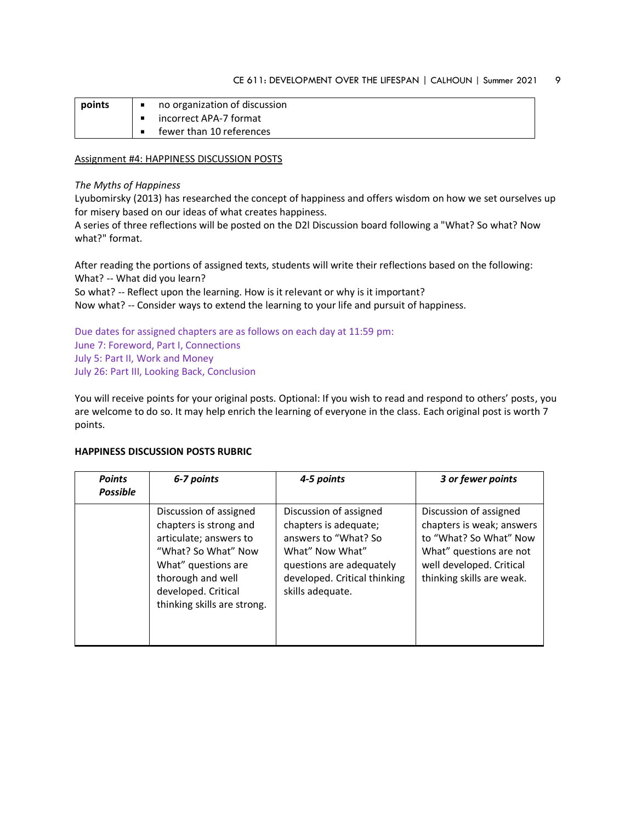| points | no organization of discussion |
|--------|-------------------------------|
|        | incorrect APA-7 format        |
|        | fewer than 10 references      |

#### Assignment #4: HAPPINESS DISCUSSION POSTS

#### *The Myths of Happiness*

Lyubomirsky (2013) has researched the concept of happiness and offers wisdom on how we set ourselves up for misery based on our ideas of what creates happiness.

A series of three reflections will be posted on the D2l Discussion board following a "What? So what? Now what?" format.

After reading the portions of assigned texts, students will write their reflections based on the following: What? -- What did you learn?

So what? -- Reflect upon the learning. How is it relevant or why is it important?

Now what? -- Consider ways to extend the learning to your life and pursuit of happiness.

Due dates for assigned chapters are as follows on each day at 11:59 pm: June 7: Foreword, Part I, Connections July 5: Part II, Work and Money July 26: Part III, Looking Back, Conclusion

You will receive points for your original posts. Optional: If you wish to read and respond to others' posts, you are welcome to do so. It may help enrich the learning of everyone in the class. Each original post is worth 7 points.

## **HAPPINESS DISCUSSION POSTS RUBRIC**

| <b>Points</b><br><b>Possible</b> | 6-7 points                                                                                                                                                                                          | 4-5 points                                                                                                                                                                 | 3 or fewer points                                                                                                                                                 |
|----------------------------------|-----------------------------------------------------------------------------------------------------------------------------------------------------------------------------------------------------|----------------------------------------------------------------------------------------------------------------------------------------------------------------------------|-------------------------------------------------------------------------------------------------------------------------------------------------------------------|
|                                  | Discussion of assigned<br>chapters is strong and<br>articulate; answers to<br>"What? So What" Now<br>What" questions are<br>thorough and well<br>developed. Critical<br>thinking skills are strong. | Discussion of assigned<br>chapters is adequate;<br>answers to "What? So<br>What" Now What"<br>questions are adequately<br>developed. Critical thinking<br>skills adequate. | Discussion of assigned<br>chapters is weak; answers<br>to "What? So What" Now<br>What" questions are not<br>well developed. Critical<br>thinking skills are weak. |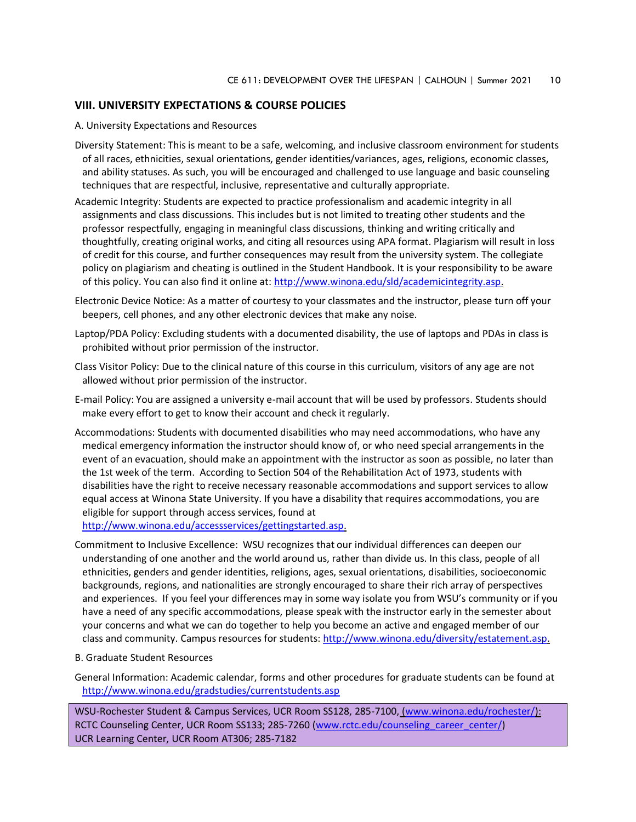# **VIII. UNIVERSITY EXPECTATIONS & COURSE POLICIES**

A. University Expectations and Resources

- Diversity Statement: This is meant to be a safe, welcoming, and inclusive classroom environment for students of all races, ethnicities, sexual orientations, gender identities/variances, ages, religions, economic classes, and ability statuses. As such, you will be encouraged and challenged to use language and basic counseling techniques that are respectful, inclusive, representative and culturally appropriate.
- Academic Integrity: Students are expected to practice professionalism and academic integrity in all assignments and class discussions. This includes but is not limited to treating other students and the professor respectfully, engaging in meaningful class discussions, thinking and writing critically and thoughtfully, creating original works, and citing all resources using APA format. Plagiarism will result in loss of credit for this course, and further consequences may result from the university system. The collegiate policy on plagiarism and cheating is outlined in the Student Handbook. It is your responsibility to be aware of this policy. You can also find it online at[: http://www.winona.edu/sld/academicintegrity.asp.](http://www.winona.edu/sld/academicintegrity.asp)
- Electronic Device Notice: As a matter of courtesy to your classmates and the instructor, please turn off your beepers, cell phones, and any other electronic devices that make any noise.
- Laptop/PDA Policy: Excluding students with a documented disability, the use of laptops and PDAs in class is prohibited without prior permission of the instructor.
- Class Visitor Policy: Due to the clinical nature of this course in this curriculum, visitors of any age are not allowed without prior permission of the instructor.
- E-mail Policy: You are assigned a university e-mail account that will be used by professors. Students should make every effort to get to know their account and check it regularly.
- Accommodations: Students with documented disabilities who may need accommodations, who have any medical emergency information the instructor should know of, or who need special arrangements in the event of an evacuation, should make an appointment with the instructor as soon as possible, no later than the 1st week of the term. According to Section 504 of the Rehabilitation Act of 1973, students with disabilities have the right to receive necessary reasonable accommodations and support services to allow equal access at Winona State University. If you have a disability that requires accommodations, you are eligible for support through access services, found at

[http://www.winona.edu/accessservices/gettingstarted.asp.](http://www.winona.edu/accessservices/gettingstarted.asp)

- Commitment to Inclusive Excellence: WSU recognizes that our individual differences can deepen our understanding of one another and the world around us, rather than divide us. In this class, people of all ethnicities, genders and gender identities, religions, ages, sexual orientations, disabilities, socioeconomic backgrounds, regions, and nationalities are strongly encouraged to share their rich array of perspectives and experiences. If you feel your differences may in some way isolate you from WSU's community or if you have a need of any specific accommodations, please speak with the instructor early in the semester about your concerns and what we can do together to help you become an active and engaged member of our class and community. Campus resources for students: [http://www.winona.edu/diversity/estatement.asp.](http://www.winona.edu/diversity/estatement.asp)
- B. Graduate Student Resources
- General Information: Academic calendar, forms and other procedures for graduate students can be found at <http://www.winona.edu/gradstudies/currentstudents.asp>

WSU-Rochester Student & Campus Services, UCR Room SS128, 285-7100, [\(www.winona.edu/rochester/\)](http://www.winona.edu/rochester/): RCTC Counseling Center, UCR Room SS133; 285-7260 [\(www.rctc.edu/counseling\\_career\\_center/\)](http://www.rctc.edu/counseling_career_center/) UCR Learning Center, UCR Room AT306; 285-7182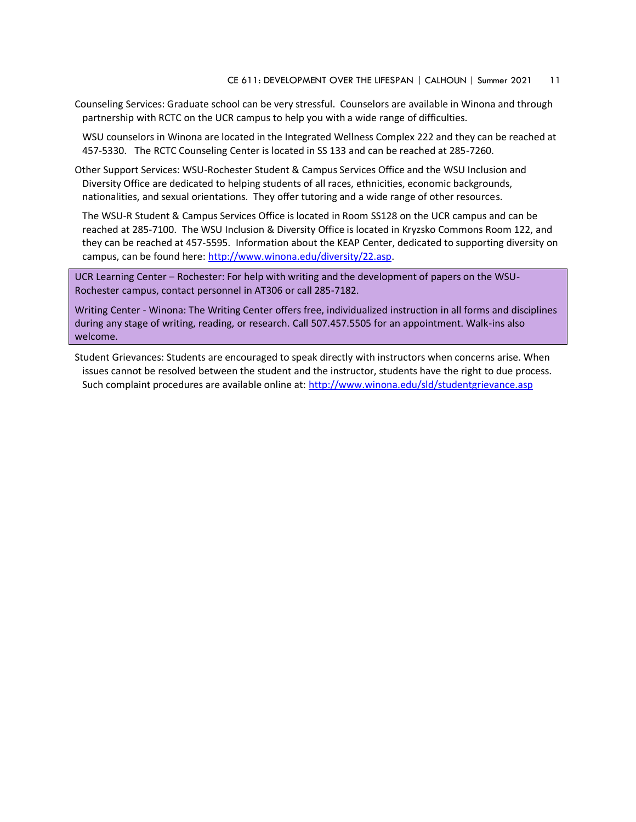Counseling Services: Graduate school can be very stressful. Counselors are available in Winona and through partnership with RCTC on the UCR campus to help you with a wide range of difficulties.

WSU counselors in Winona are located in the Integrated Wellness Complex 222 and they can be reached at 457-5330. The RCTC Counseling Center is located in SS 133 and can be reached at 285-7260.

Other Support Services: WSU-Rochester Student & Campus Services Office and the WSU Inclusion and Diversity Office are dedicated to helping students of all races, ethnicities, economic backgrounds, nationalities, and sexual orientations. They offer tutoring and a wide range of other resources.

The WSU-R Student & Campus Services Office is located in Room SS128 on the UCR campus and can be reached at 285-7100. The WSU Inclusion & Diversity Office is located in Kryzsko Commons Room 122, and they can be reached at 457-5595. Information about the KEAP Center, dedicated to supporting diversity on campus, can be found here: [http://www.winona.edu/diversity/22.asp.](http://www.winona.edu/diversity/22.asp)

UCR Learning Center – Rochester: For help with writing and the development of papers on the WSU-Rochester campus, contact personnel in AT306 or call 285-7182.

Writing Center - Winona: The Writing Center offers free, individualized instruction in all forms and disciplines during any stage of writing, reading, or research. Call 507.457.5505 for an appointment. Walk-ins also welcome.

Student Grievances: Students are encouraged to speak directly with instructors when concerns arise. When issues cannot be resolved between the student and the instructor, students have the right to due process. Such complaint procedures are available online at:<http://www.winona.edu/sld/studentgrievance.asp>